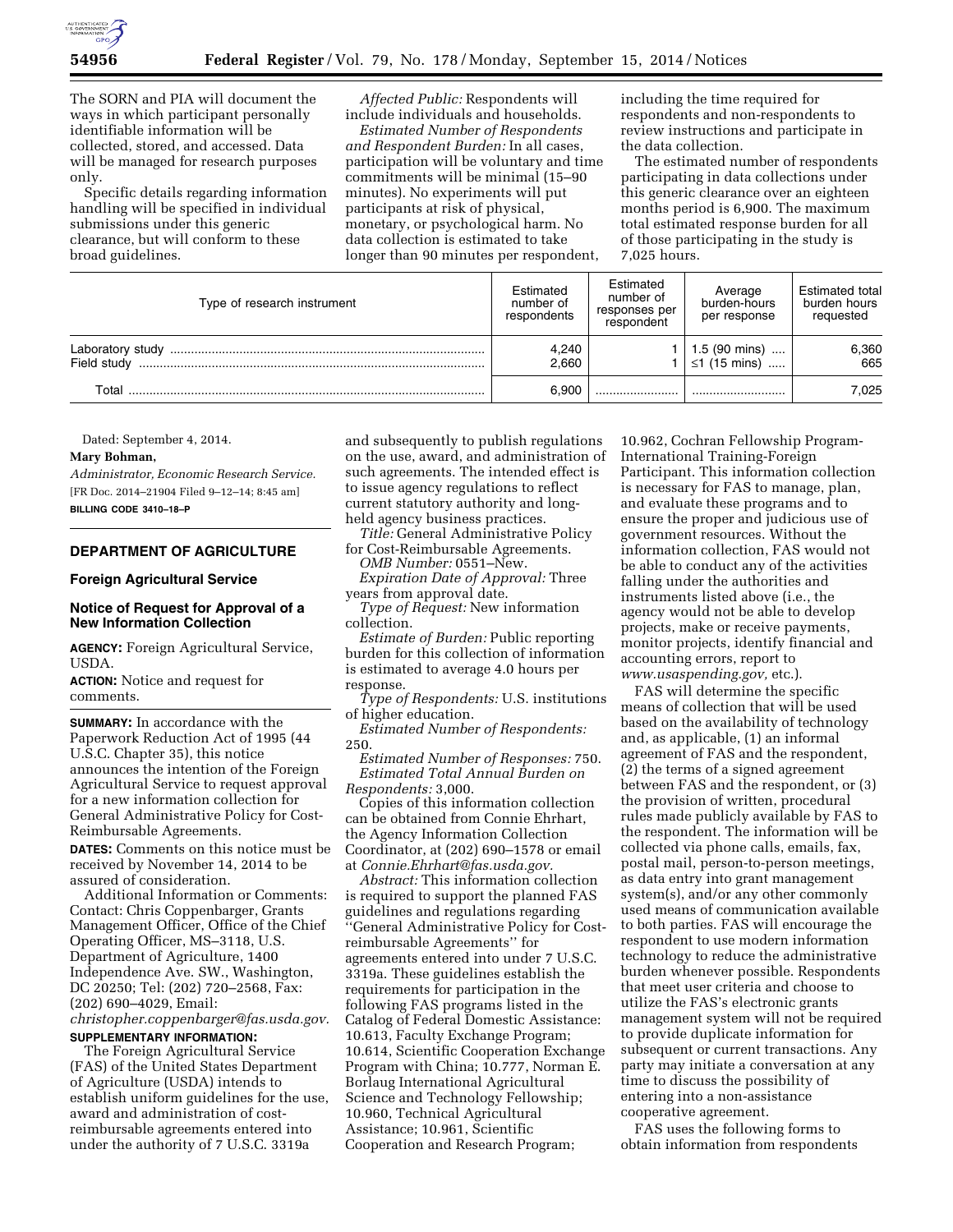

The SORN and PIA will document the ways in which participant personally identifiable information will be collected, stored, and accessed. Data will be managed for research purposes only.

Specific details regarding information handling will be specified in individual submissions under this generic clearance, but will conform to these broad guidelines.

*Affected Public:* Respondents will include individuals and households.

*Estimated Number of Respondents and Respondent Burden:* In all cases, participation will be voluntary and time commitments will be minimal (15–90 minutes). No experiments will put participants at risk of physical, monetary, or psychological harm. No data collection is estimated to take longer than 90 minutes per respondent,

including the time required for respondents and non-respondents to review instructions and participate in the data collection.

The estimated number of respondents participating in data collections under this generic clearance over an eighteen months period is 6,900. The maximum total estimated response burden for all of those participating in the study is 7,025 hours.

| Type of research instrument | Estimated<br>number of<br>respondents | Estimated<br>number of<br>responses per<br>respondent | Average<br>burden-hours<br>per response | Estimated total<br>burden hours<br>requested |
|-----------------------------|---------------------------------------|-------------------------------------------------------|-----------------------------------------|----------------------------------------------|
| Field study                 | 4,240<br>2.660                        |                                                       | $1.5$ (90 mins)<br>≤1 (15 mins)         | 6,360<br>665                                 |
| Total                       | 6.900                                 |                                                       |                                         | 7.025                                        |

Dated: September 4, 2014.

#### **Mary Bohman,**

*Administrator, Economic Research Service.*  [FR Doc. 2014–21904 Filed 9–12–14; 8:45 am] **BILLING CODE 3410–18–P** 

# **DEPARTMENT OF AGRICULTURE**

# **Foreign Agricultural Service**

### **Notice of Request for Approval of a New Information Collection**

**AGENCY:** Foreign Agricultural Service, USDA.

**ACTION:** Notice and request for comments.

**SUMMARY:** In accordance with the Paperwork Reduction Act of 1995 (44 U.S.C. Chapter 35), this notice announces the intention of the Foreign Agricultural Service to request approval for a new information collection for General Administrative Policy for Cost-Reimbursable Agreements.

**DATES:** Comments on this notice must be received by November 14, 2014 to be assured of consideration.

Additional Information or Comments: Contact: Chris Coppenbarger, Grants Management Officer, Office of the Chief Operating Officer, MS–3118, U.S. Department of Agriculture, 1400 Independence Ave. SW., Washington, DC 20250; Tel: (202) 720–2568, Fax: (202) 690–4029, Email:

*[christopher.coppenbarger@fas.usda.gov.](mailto:christopher.coppenbarger@fas.usda.gov)*  **SUPPLEMENTARY INFORMATION:** 

The Foreign Agricultural Service (FAS) of the United States Department of Agriculture (USDA) intends to establish uniform guidelines for the use, award and administration of costreimbursable agreements entered into under the authority of 7 U.S.C. 3319a

and subsequently to publish regulations on the use, award, and administration of such agreements. The intended effect is to issue agency regulations to reflect current statutory authority and longheld agency business practices.

*Title:* General Administrative Policy for Cost-Reimbursable Agreements.

*OMB Number:* 0551–New. *Expiration Date of Approval:* Three

years from approval date.

*Type of Request:* New information collection.

*Estimate of Burden:* Public reporting burden for this collection of information is estimated to average 4.0 hours per response.

*Type of Respondents:* U.S. institutions of higher education.

*Estimated Number of Respondents:*  250.

*Estimated Number of Responses:* 750. *Estimated Total Annual Burden on Respondents:* 3,000.

Copies of this information collection can be obtained from Connie Ehrhart, the Agency Information Collection Coordinator, at (202) 690–1578 or email at *[Connie.Ehrhart@fas.usda.gov.](mailto:Connie.Ehrhart@fas.usda.gov)* 

*Abstract:* This information collection is required to support the planned FAS guidelines and regulations regarding ''General Administrative Policy for Costreimbursable Agreements'' for agreements entered into under 7 U.S.C. 3319a. These guidelines establish the requirements for participation in the following FAS programs listed in the Catalog of Federal Domestic Assistance: 10.613, Faculty Exchange Program; 10.614, Scientific Cooperation Exchange Program with China; 10.777, Norman E. Borlaug International Agricultural Science and Technology Fellowship; 10.960, Technical Agricultural Assistance; 10.961, Scientific Cooperation and Research Program;

10.962, Cochran Fellowship Program-International Training-Foreign Participant. This information collection is necessary for FAS to manage, plan, and evaluate these programs and to ensure the proper and judicious use of government resources. Without the information collection, FAS would not be able to conduct any of the activities falling under the authorities and instruments listed above (i.e., the agency would not be able to develop projects, make or receive payments, monitor projects, identify financial and accounting errors, report to *[www.usaspending.gov,](http://www.usaspending.gov)* etc.).

FAS will determine the specific means of collection that will be used based on the availability of technology and, as applicable, (1) an informal agreement of FAS and the respondent, (2) the terms of a signed agreement between FAS and the respondent, or (3) the provision of written, procedural rules made publicly available by FAS to the respondent. The information will be collected via phone calls, emails, fax, postal mail, person-to-person meetings, as data entry into grant management system(s), and/or any other commonly used means of communication available to both parties. FAS will encourage the respondent to use modern information technology to reduce the administrative burden whenever possible. Respondents that meet user criteria and choose to utilize the FAS's electronic grants management system will not be required to provide duplicate information for subsequent or current transactions. Any party may initiate a conversation at any time to discuss the possibility of entering into a non-assistance cooperative agreement.

FAS uses the following forms to obtain information from respondents